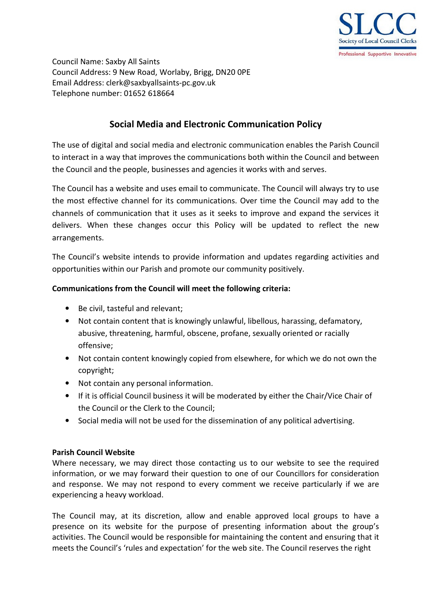

Council Name: Saxby All Saints Council Address: 9 New Road, Worlaby, Brigg, DN20 0PE Email Address: clerk@saxbyallsaints-pc.gov.uk Telephone number: 01652 618664

# **Social Media and Electronic Communication Policy**

The use of digital and social media and electronic communication enables the Parish Council to interact in a way that improves the communications both within the Council and between the Council and the people, businesses and agencies it works with and serves.

The Council has a website and uses email to communicate. The Council will always try to use the most effective channel for its communications. Over time the Council may add to the channels of communication that it uses as it seeks to improve and expand the services it delivers. When these changes occur this Policy will be updated to reflect the new arrangements.

The Council's website intends to provide information and updates regarding activities and opportunities within our Parish and promote our community positively.

## **Communications from the Council will meet the following criteria:**

- Be civil, tasteful and relevant;
- Not contain content that is knowingly unlawful, libellous, harassing, defamatory, abusive, threatening, harmful, obscene, profane, sexually oriented or racially offensive;
- Not contain content knowingly copied from elsewhere, for which we do not own the copyright;
- Not contain any personal information.
- If it is official Council business it will be moderated by either the Chair/Vice Chair of the Council or the Clerk to the Council;
- Social media will not be used for the dissemination of any political advertising.

## **Parish Council Website**

Where necessary, we may direct those contacting us to our website to see the required information, or we may forward their question to one of our Councillors for consideration and response. We may not respond to every comment we receive particularly if we are experiencing a heavy workload.

The Council may, at its discretion, allow and enable approved local groups to have a presence on its website for the purpose of presenting information about the group's activities. The Council would be responsible for maintaining the content and ensuring that it meets the Council's 'rules and expectation' for the web site. The Council reserves the right